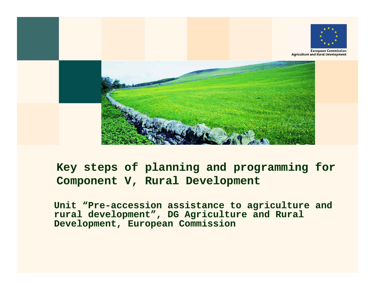

**European Commission Agriculture and Rural Development** 



## **Key steps of planning and programming for Component V, Rural Development**

**Unit "Pre-accession assistance to agriculture and rural development", DG Agriculture and Rural Development, European Commission**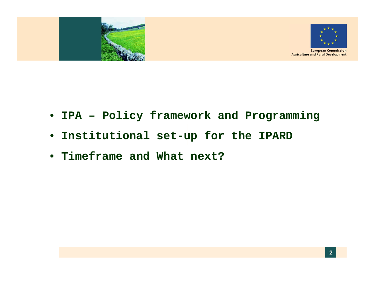

- **IPA – Policy framework and Programming**
- **Institutional set-up for the IPARD**
- **Timeframe and What next?**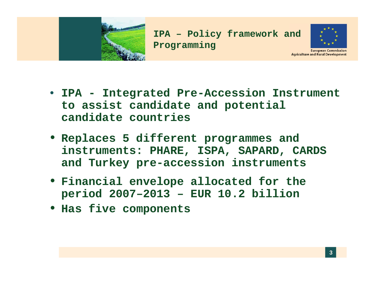



**Agriculture and Rural Development** 

- IPA Integrated Pre-Accession Instrument **to assist candidate and potential candidate countries**
- **Replaces 5 different programmes and instruments: PHARE, ISPA, SAPARD, CARDS and Turkey pre -accession instruments accession**
- **Financial envelope allocated for the period 2007 – 2013 – EUR 10.2 billion**
- **Has five components**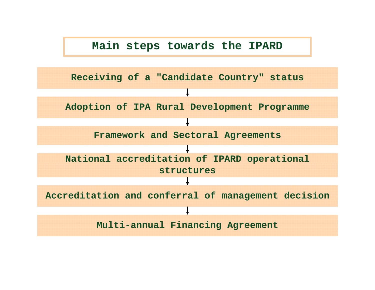#### **Main steps towards the IPARD**

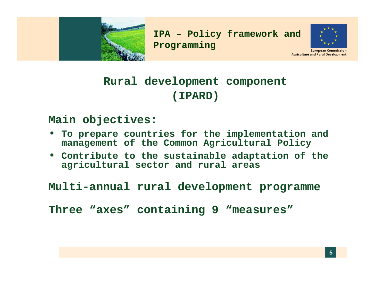



**European Commission Agriculture and Rural Development** 

# **Rural development component (IPARD)**

#### **Main objectives:**

- **To prepare countries for the implementation and management of the Common Agricultural Policy**
- **Contribute to the sustainable adaptation of the agri lt l t d l icultura l sec tor an d rura l areas**

**Multi-annual rural development programme**

**Three "axes" containing 9 "measures"**

**5**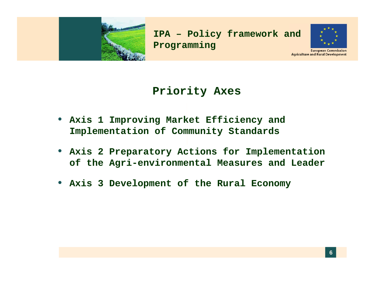



**European Commission Agriculture and Rural Development** 

## **Priority Axes Axes**

- **Axis 1 Improving Market Efficiency and Implementation of Community Standards**
- **Axis 2 Preparatory Actions for Implementation of the Agri -environmental Measures and Leader environmental**
- **Axis 3 Development of the Rural Economy**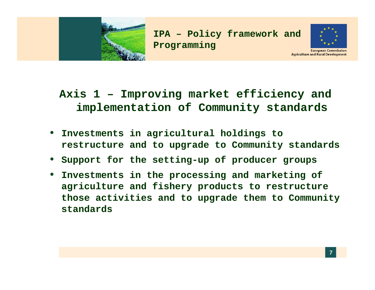



**Axis 1 – Improving market efficiency and implementation of Community standards**

- **Investments in agricultural holdings to restructure and to upgrade to Community standards**
- Support for the setting-up of producer groups
- **Investments in the processing and marketing of agriculture and fishery products to restructure those activities and to upgrade them to Community standards**

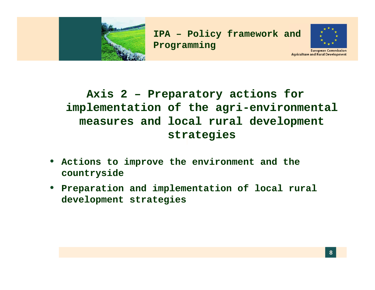



**European Commission Agriculture and Rural Development** 

# **Axis 2 – Preparatory actions for implementation of the agri-environmental measures and local rural develo pment strategies**

- **Actions to improve the environment and the environment countryside**
- **Preparation and implementation of local rural development strategies**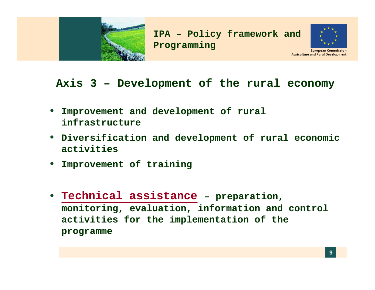



## **Axis 3 – Development of the rural economy**

- **Improvement and development of rural infrastructure**
- **Diversification and development of rural economic activities**
- **Impro ement of training vement**
- **Technical assistance – pp , re paration monitoring, evaluation, information and control activities for the implementation of the programme**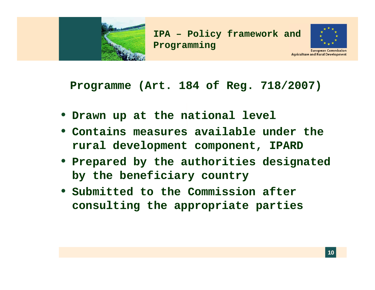



**European Commission Agriculture and Rural Development** 

#### **Pro g ( g /) ramme (Art. 184 of Re g. 718 /2007 )**

- **Drawn up at the national level**
- **Contains measures available under the rural development component, IPARD**
- **Prepared by the authorities designated by the beneficiary country**
- **Submitted to the Commission after consulting the appropriate parties**

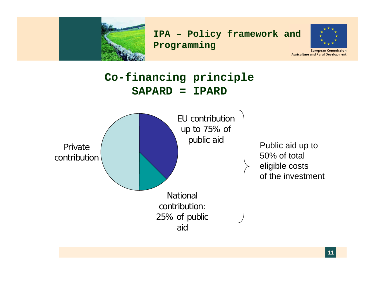



**European Commission Agriculture and Rural Development** 

## **Co-financing principle SAPARD <sup>=</sup> IPARD**



Public aid up to 50% of total eligible costs of the investment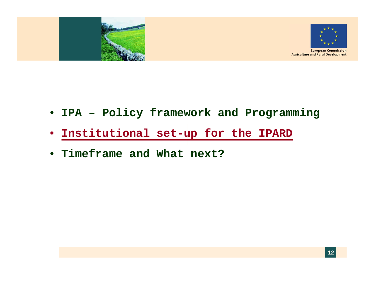

- **IPA – Policy framework and Programming**
- **Institutional set-up for the IPARD**
- **Timeframe and What next?**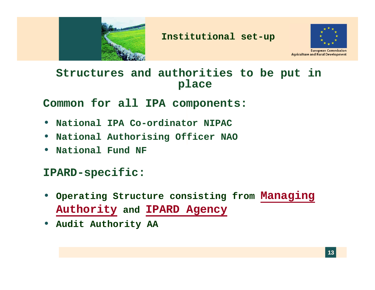



**European Commission Agriculture and Rural Development** 

## **Structures and authorities to be put in place**

**Common for all IPA components:**

- **National IPA Co-ordinator NIPAC**
- **National Authorising Officer NAO**
- **National Fund NF**

#### **IPARD-specific:**

- **Opg <sup>g</sup> erating Structure consisting from Manag g in Authority and IPARD Agency**
- **Audit Authority AA**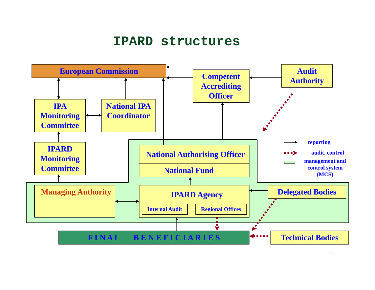## **IPARD structures**

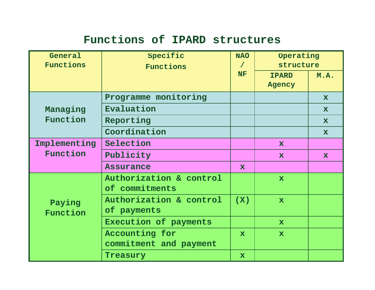## **Functions of IPARD structures**

| General<br>Functions     | Specific                                  | <b>NAO</b><br>$\prime$ | Operating<br>structure |              |
|--------------------------|-------------------------------------------|------------------------|------------------------|--------------|
|                          | Functions                                 | <b>NF</b>              | M.A.<br><b>IPARD</b>   |              |
|                          |                                           |                        | Agency                 |              |
| Managing<br>Function     | Programme monitoring                      |                        |                        | $\mathbf x$  |
|                          | Evaluation                                |                        |                        | $\mathbf x$  |
|                          | Reporting                                 |                        |                        | $\mathbf x$  |
|                          | Coordination                              |                        |                        | $\mathbf x$  |
| Implementing<br>Function | Selection                                 |                        | $\mathbf{x}$           |              |
|                          | Publicity                                 |                        | $\mathbf{x}$           | $\mathbf{x}$ |
|                          | <b>Assurance</b>                          | $\mathbf x$            |                        |              |
| Paying<br>Function       | Authorization & control<br>of commitments |                        | $\mathbf x$            |              |
|                          | Authorization & control<br>of payments    | (X)                    | $\mathbf{x}$           |              |
|                          | Execution of payments                     |                        | $\mathbf{x}$           |              |
|                          | Accounting for<br>commitment and payment  | $\mathbf x$            | $\mathbf x$            |              |
|                          | Treasury                                  | $\mathbf x$            |                        |              |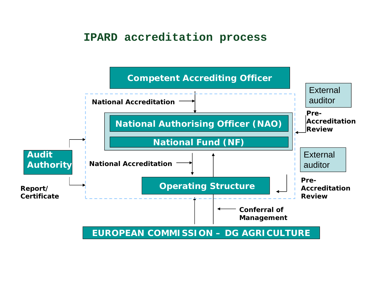#### **IPARD accreditation process**

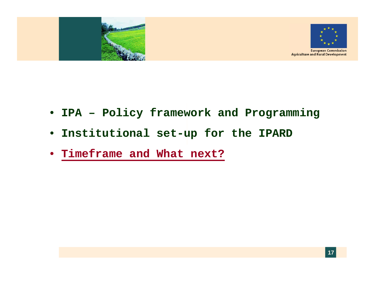

- **IPA – Policy framework and Programming**
- **Institutional set-up for the IPARD**
- **Timeframe and What next?**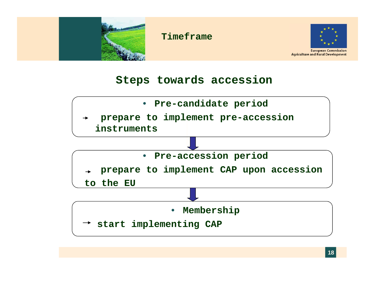



#### **Steps towards accession**

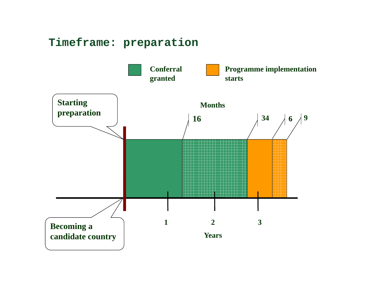## **Timeframe: preparation**

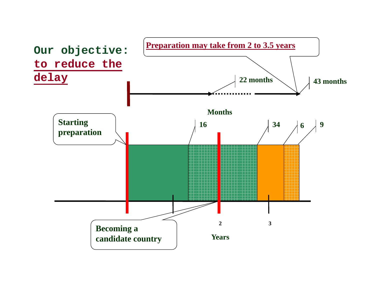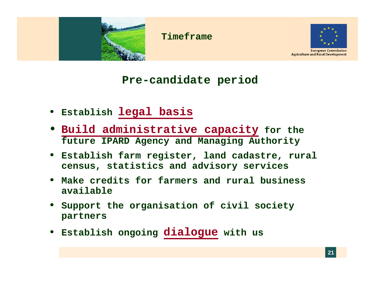



**European Commission Agriculture and Rural Development** 

#### **Pre-candidate period**

- **Establish legal basis**
- **B ild d i i t ti it Build administrative capacity for the future IPARD Agency and Managing Authority**
- **Establish farm register, land cadastre, rural census, stati i d di i istics and advisory services**
- **Make credits for farmers and rural business available**
- **Support the organisation of civil society partners**
- **Establish ongoing dialogue with us g gg**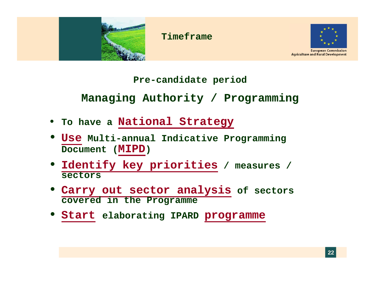



**European Commission Agriculture and Rural Development** 

#### **Pre-candidate period**

**Managing Authority / Programming**

- **To have a National Strategy**
- **Use Multi-annual Indicative Programming Document (MIPD)**
- **Id tif k i iti Identify key priorities / / measures / sectors**
- **Carry out sector analysis of sectors covered in the Programme**
- **Start elaborating IPARD programme**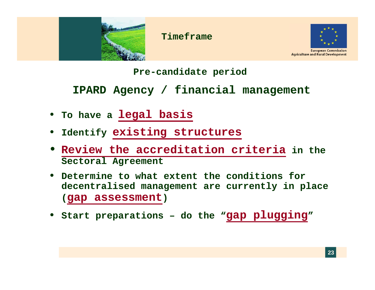



#### **Pre-candidate period**

**IPARD Agency / financial management**

- **To have a legal basis**
- **Identify existing structures**
- **Review the accreditation criteria in the Sectoral Agreement**
- **Determine to what extent the conditions for decentralised management are currently in place (gap assessment gap assessment)**
- **Start preparations – do the "gap plugging"**